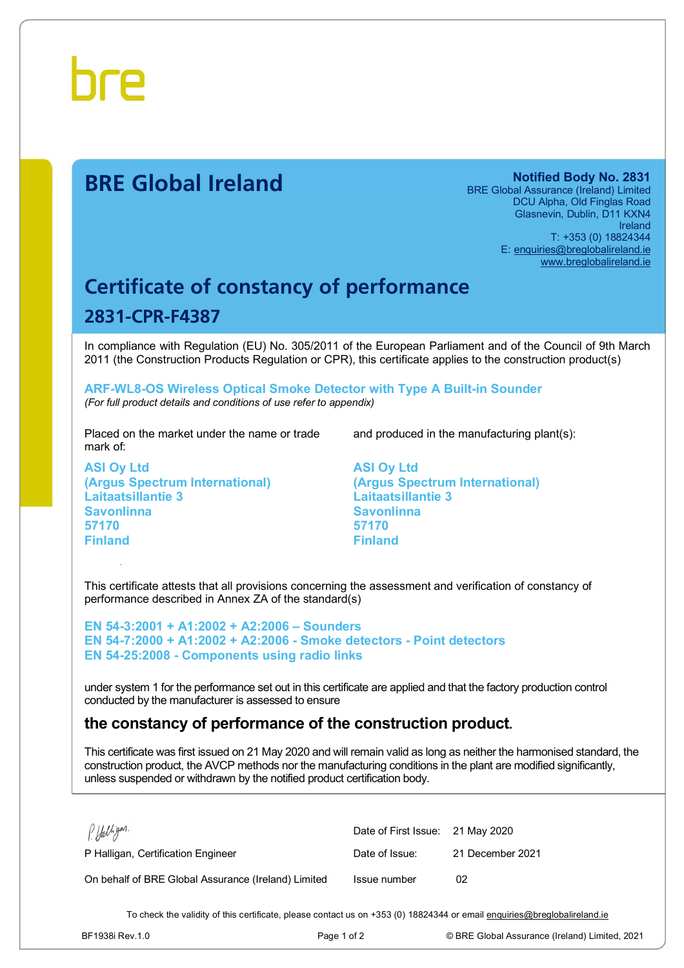

## **BRE Global Ireland Notified Body No. 2831**

BRE Global Assurance (Ireland) Limited DCU Alpha, Old Finglas Road Glasnevin, Dublin, D11 KXN4 Ireland T: +353 (0) 18824344 E: [enquiries@breglobalireland.ie](mailto:enquiries@breglobalireland.ie) [www.breglobalireland.ie](http://www.breglobalireland.ie)

## **Certificate of constancy of performance 2831-CPR-F4387**

In compliance with Regulation (EU) No. 305/2011 of the European Parliament and of the Council of 9th March 2011 (the Construction Products Regulation or CPR), this certificate applies to the construction product(s)

**ARF-WL8-OS Wireless Optical Smoke Detector with Type A Built-in Sounder**  *(For full product details and conditions of use refer to appendix)* 

Placed on the market under the name or trade mark of:

**ASI Oy Ltd (Argus Spectrum International) Laitaatsillantie 3 Savonlinna 57170 Finland** 

and produced in the manufacturing plant(s):

**ASI Oy Ltd (Argus Spectrum International) Laitaatsillantie 3 Savonlinna 57170 Finland** 

This certificate attests that all provisions concerning the assessment and verification of constancy of performance described in Annex ZA of the standard(s)

**EN 54-3:2001 + A1:2002 + A2:2006 – Sounders EN 54-7:2000 + A1:2002 + A2:2006 - Smoke detectors - Point detectors EN 54-25:2008 - Components using radio links** 

under system 1 for the performance set out in this certificate are applied and that the factory production control conducted by the manufacturer is assessed to ensure

## **the constancy of performance of the construction product.**

This certificate was first issued on 21 May 2020 and will remain valid as long as neither the harmonised standard, the construction product, the AVCP methods nor the manufacturing conditions in the plant are modified significantly, unless suspended or withdrawn by the notified product certification body.

| P. Halligan.                                        | Date of First Issue: 21 May 2020 |                  |
|-----------------------------------------------------|----------------------------------|------------------|
| P Halligan, Certification Engineer                  | Date of Issue:                   | 21 December 2021 |
| On behalf of BRE Global Assurance (Ireland) Limited | Issue number                     | 02               |

To check the validity of this certificate, please contact us on +353 (0) 18824344 or email [enquiries@breglobalireland.ie](mailto:enquiries@breglobalireland.ie)